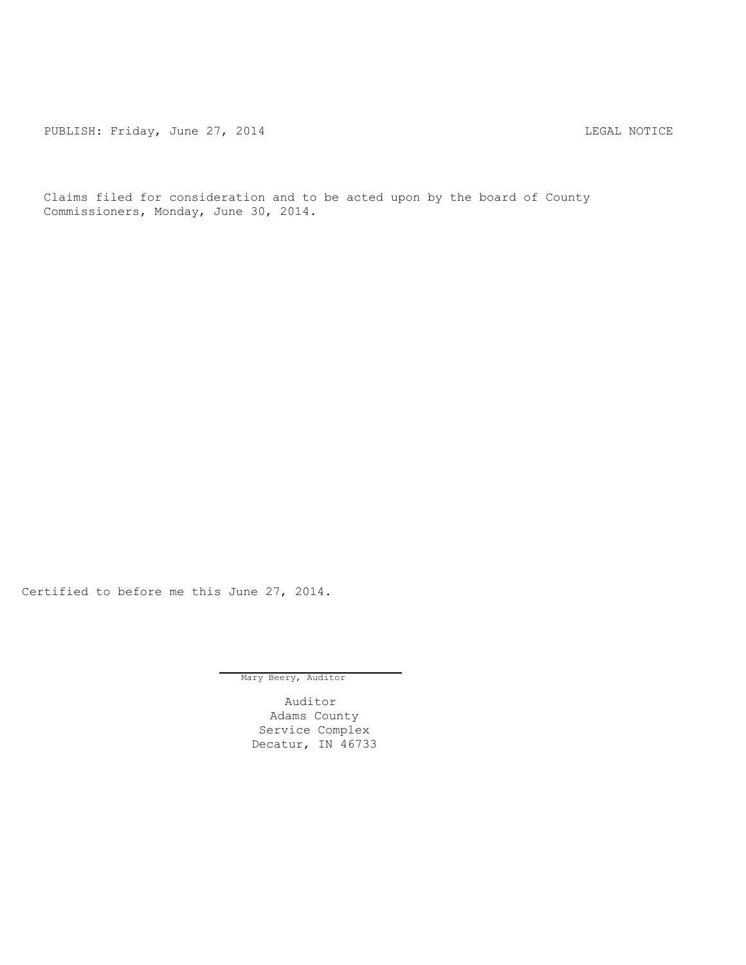PUBLISH: Friday, June 27, 2014 CHA CHANGE AND THE REGAL NOTICE

Claims filed for consideration and to be acted upon by the board of County Commissioners, Monday, June 30, 2014.

Certified to before me this June 27, 2014.

Mary Beery, Auditor

Auditor Adams County Service Complex Decatur, IN 46733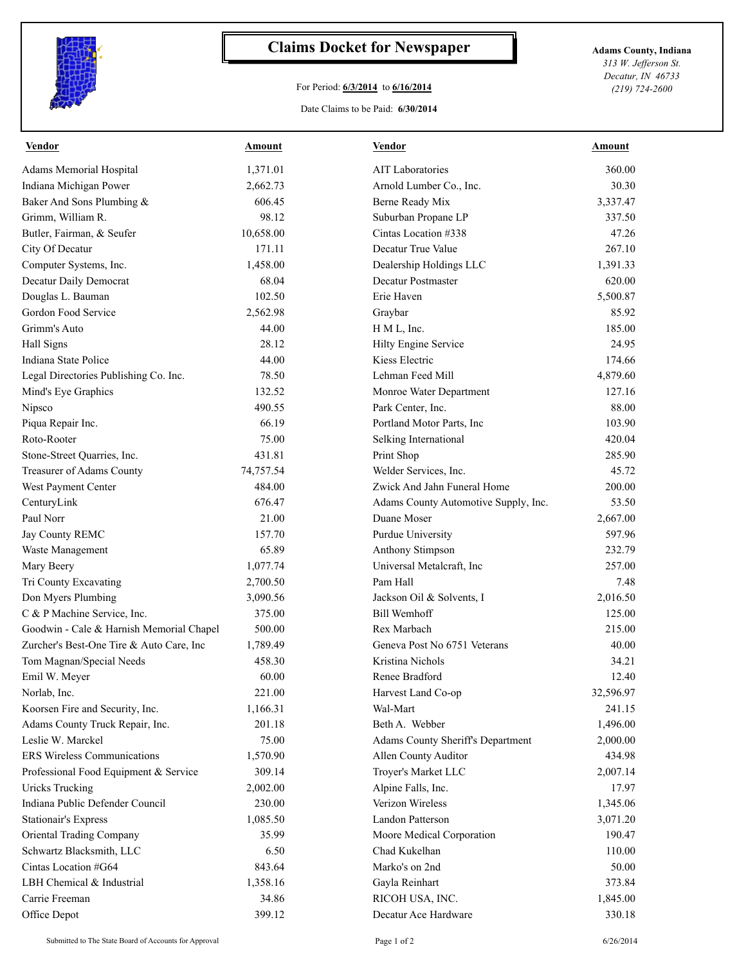

## **Claims Docket for Newspaper Adams County, Indiana**

## For Period: **6/3/2014** to **6/16/2014**

*313 W. Jefferson St. Decatur, IN 46733 (219) 724-2600*

## Date Claims to be Paid: **6/30/2014**

| <b>Vendor</b>                            | <b>Amount</b> | <b>Vendor</b>                        | <u>Amount</u> |
|------------------------------------------|---------------|--------------------------------------|---------------|
| Adams Memorial Hospital                  | 1,371.01      | <b>AIT Laboratories</b>              | 360.00        |
| Indiana Michigan Power                   | 2,662.73      | Arnold Lumber Co., Inc.              | 30.30         |
| Baker And Sons Plumbing &                | 606.45        | Berne Ready Mix                      | 3,337.47      |
| Grimm, William R.                        | 98.12         | Suburban Propane LP                  | 337.50        |
| Butler, Fairman, & Seufer                | 10,658.00     | Cintas Location #338                 | 47.26         |
| City Of Decatur                          | 171.11        | Decatur True Value                   | 267.10        |
| Computer Systems, Inc.                   | 1,458.00      | Dealership Holdings LLC              | 1,391.33      |
| Decatur Daily Democrat                   | 68.04         | <b>Decatur Postmaster</b>            | 620.00        |
| Douglas L. Bauman                        | 102.50        | Erie Haven                           | 5,500.87      |
| Gordon Food Service                      | 2,562.98      | Graybar                              | 85.92         |
| Grimm's Auto                             | 44.00         | H M L, Inc.                          | 185.00        |
| Hall Signs                               | 28.12         | Hilty Engine Service                 | 24.95         |
| Indiana State Police                     | 44.00         | Kiess Electric                       | 174.66        |
| Legal Directories Publishing Co. Inc.    | 78.50         | Lehman Feed Mill                     | 4,879.60      |
| Mind's Eye Graphics                      | 132.52        | Monroe Water Department              | 127.16        |
| Nipsco                                   | 490.55        | Park Center, Inc.                    | 88.00         |
| Piqua Repair Inc.                        | 66.19         | Portland Motor Parts, Inc            | 103.90        |
| Roto-Rooter                              | 75.00         | Selking International                | 420.04        |
| Stone-Street Quarries, Inc.              | 431.81        | Print Shop                           | 285.90        |
| Treasurer of Adams County                | 74,757.54     | Welder Services, Inc.                | 45.72         |
| West Payment Center                      | 484.00        | Zwick And Jahn Funeral Home          | 200.00        |
| CenturyLink                              | 676.47        | Adams County Automotive Supply, Inc. | 53.50         |
| Paul Norr                                | 21.00         | Duane Moser                          | 2,667.00      |
| Jay County REMC                          | 157.70        | Purdue University                    | 597.96        |
| Waste Management                         | 65.89         | Anthony Stimpson                     | 232.79        |
| Mary Beery                               | 1,077.74      | Universal Metalcraft, Inc            | 257.00        |
| Tri County Excavating                    | 2,700.50      | Pam Hall                             | 7.48          |
| Don Myers Plumbing                       | 3,090.56      | Jackson Oil & Solvents, I            | 2,016.50      |
| C & P Machine Service, Inc.              | 375.00        | <b>Bill Wemhoff</b>                  | 125.00        |
| Goodwin - Cale & Harnish Memorial Chapel | 500.00        | Rex Marbach                          | 215.00        |
| Zurcher's Best-One Tire & Auto Care, Inc | 1,789.49      | Geneva Post No 6751 Veterans         | 40.00         |
| Tom Magnan/Special Needs                 | 458.30        | Kristina Nichols                     | 34.21         |
| Emil W. Meyer                            | 60.00         | Renee Bradford                       | 12.40         |
| Norlab, Inc.                             | 221.00        | Harvest Land Co-op                   | 32,596.97     |
| Koorsen Fire and Security, Inc.          | 1,166.31      | Wal-Mart                             | 241.15        |
| Adams County Truck Repair, Inc.          | 201.18        | Beth A. Webber                       | 1,496.00      |
| Leslie W. Marckel                        | 75.00         | Adams County Sheriff's Department    | 2,000.00      |
| <b>ERS Wireless Communications</b>       | 1,570.90      | Allen County Auditor                 | 434.98        |
| Professional Food Equipment & Service    | 309.14        | Troyer's Market LLC                  | 2,007.14      |
| <b>Uricks Trucking</b>                   | 2,002.00      | Alpine Falls, Inc.                   | 17.97         |
| Indiana Public Defender Council          | 230.00        | Verizon Wireless                     | 1,345.06      |
| <b>Stationair's Express</b>              | 1,085.50      | Landon Patterson                     | 3,071.20      |
| Oriental Trading Company                 | 35.99         | Moore Medical Corporation            | 190.47        |
| Schwartz Blacksmith, LLC                 | 6.50          | Chad Kukelhan                        | 110.00        |
| Cintas Location #G64                     | 843.64        | Marko's on 2nd                       | 50.00         |
| LBH Chemical & Industrial                | 1,358.16      | Gayla Reinhart                       | 373.84        |
| Carrie Freeman                           | 34.86         | RICOH USA, INC.                      | 1,845.00      |
| Office Depot                             | 399.12        | Decatur Ace Hardware                 | 330.18        |